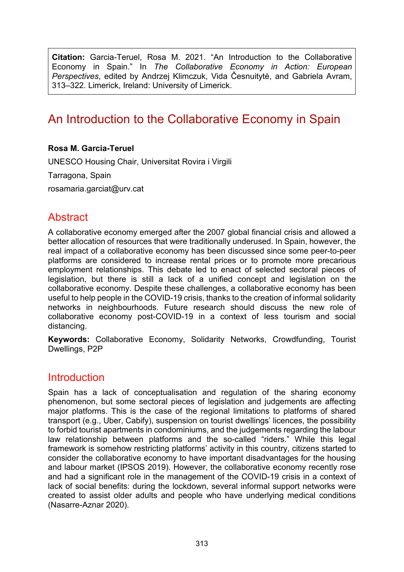**Citation:** Garcia-Teruel, Rosa M. 2021. "An Introduction to the Collaborative Economy in Spain." In *The Collaborative Economy in Action: European Perspectives*, edited by Andrzej Klimczuk, Vida Česnuitytė, and Gabriela Avram, 313–322. Limerick, Ireland: University of Limerick.

# An Introduction to the Collaborative Economy in Spain

#### **Rosa M. Garcia-Teruel**

UNESCO Housing Chair, Universitat Rovira i Virgili

Tarragona, Spain

[rosamaria.garciat@urv.cat](mailto:rosamaria.garciat@urv.cat)

### **Abstract**

A collaborative economy emerged after the 2007 global financial crisis and allowed a better allocation of resources that were traditionally underused. In Spain, however, the real impact of a collaborative economy has been discussed since some peer-to-peer platforms are considered to increase rental prices or to promote more precarious employment relationships. This debate led to enact of selected sectoral pieces of legislation, but there is still a lack of a unified concept and legislation on the collaborative economy. Despite these challenges, a collaborative economy has been useful to help people in the COVID-19 crisis, thanks to the creation of informal solidarity networks in neighbourhoods. Future research should discuss the new role of collaborative economy post-COVID-19 in a context of less tourism and social distancing.

**Keywords:** Collaborative Economy, Solidarity Networks, Crowdfunding, Tourist Dwellings, P2P

#### **Introduction**

Spain has a lack of conceptualisation and regulation of the sharing economy phenomenon, but some sectoral pieces of legislation and judgements are affecting major platforms. This is the case of the regional limitations to platforms of shared transport (e.g., Uber, Cabify), suspension on tourist dwellings' licences, the possibility to forbid tourist apartments in condominiums, and the judgements regarding the labour law relationship between platforms and the so-called "riders." While this legal framework is somehow restricting platforms' activity in this country, citizens started to consider the collaborative economy to have important disadvantages for the housing and labour market (IPSOS 2019). However, the collaborative economy recently rose and had a significant role in the management of the COVID-19 crisis in a context of lack of social benefits: during the lockdown, several informal support networks were created to assist older adults and people who have underlying medical conditions (Nasarre-Aznar 2020).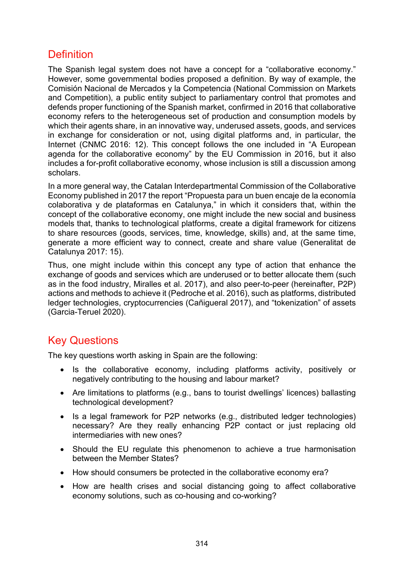## Definition

The Spanish legal system does not have a concept for a "collaborative economy." However, some governmental bodies proposed a definition. By way of example, the Comisión Nacional de Mercados y la Competencia (National Commission on Markets and Competition), a public entity subject to parliamentary control that promotes and defends proper functioning of the Spanish market, confirmed in 2016 that collaborative economy refers to the heterogeneous set of production and consumption models by which their agents share, in an innovative way, underused assets, goods, and services in exchange for consideration or not, using digital platforms and, in particular, the Internet (CNMC 2016: 12). This concept follows the one included in "A European agenda for the collaborative economy" by the EU Commission in 2016, but it also includes a for-profit collaborative economy, whose inclusion is still a discussion among scholars.

In a more general way, the Catalan Interdepartmental Commission of the Collaborative Economy published in 2017 the report "Propuesta para un buen encaje de la economía colaborativa y de plataformas en Catalunya," in which it considers that, within the concept of the collaborative economy, one might include the new social and business models that, thanks to technological platforms, create a digital framework for citizens to share resources (goods, services, time, knowledge, skills) and, at the same time, generate a more efficient way to connect, create and share value (Generalitat de Catalunya 2017: 15).

Thus, one might include within this concept any type of action that enhance the exchange of goods and services which are underused or to better allocate them (such as in the food industry, Miralles et al. 2017), and also peer-to-peer (hereinafter, P2P) actions and methods to achieve it (Pedroche et al. 2016), such as platforms, distributed ledger technologies, cryptocurrencies (Cañigueral 2017), and "tokenization" of assets (Garcia-Teruel 2020).

## Key Questions

The key questions worth asking in Spain are the following:

- Is the collaborative economy, including platforms activity, positively or negatively contributing to the housing and labour market?
- Are limitations to platforms (e.g., bans to tourist dwellings' licences) ballasting technological development?
- Is a legal framework for P2P networks (e.g., distributed ledger technologies) necessary? Are they really enhancing P2P contact or just replacing old intermediaries with new ones?
- Should the EU regulate this phenomenon to achieve a true harmonisation between the Member States?
- How should consumers be protected in the collaborative economy era?
- How are health crises and social distancing going to affect collaborative economy solutions, such as co-housing and co-working?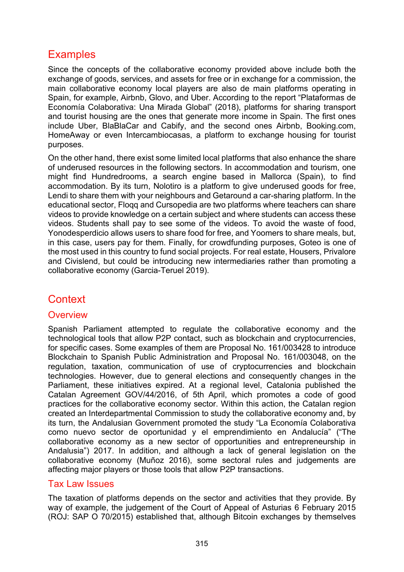## **Examples**

Since the concepts of the collaborative economy provided above include both the exchange of goods, services, and assets for free or in exchange for a commission, the main collaborative economy local players are also de main platforms operating in Spain, for example, Airbnb, Glovo, and Uber. According to the report "Plataformas de Economía Colaborativa: Una Mirada Global" (2018), platforms for sharing transport and tourist housing are the ones that generate more income in Spain. The first ones include Uber, BlaBlaCar and Cabify, and the second ones Airbnb, Booking.com, HomeAway or even Intercambiocasas, a platform to exchange housing for tourist purposes.

On the other hand, there exist some limited local platforms that also enhance the share of underused resources in the following sectors. In accommodation and tourism, one might find Hundredrooms, a search engine based in Mallorca (Spain), to find accommodation. By its turn, Nolotiro is a platform to give underused goods for free, Lendi to share them with your neighbours and Getaround a car-sharing platform. In the educational sector, Floqq and Cursopedia are two platforms where teachers can share videos to provide knowledge on a certain subject and where students can access these videos. Students shall pay to see some of the videos. To avoid the waste of food, Yonodesperdicio allows users to share food for free, and Yoomers to share meals, but, in this case, users pay for them. Finally, for crowdfunding purposes, Goteo is one of the most used in this country to fund social projects. For real estate, Housers, Privalore and Civislend, but could be introducing new intermediaries rather than promoting a collaborative economy (Garcia-Teruel 2019).

## **Context**

#### **Overview**

Spanish Parliament attempted to regulate the collaborative economy and the technological tools that allow P2P contact, such as blockchain and cryptocurrencies, for specific cases. Some examples of them are Proposal No. 161/003428 to introduce Blockchain to Spanish Public Administration and Proposal No. 161/003048, on the regulation, taxation, communication of use of cryptocurrencies and blockchain technologies. However, due to general elections and consequently changes in the Parliament, these initiatives expired. At a regional level, Catalonia published the Catalan Agreement GOV/44/2016, of 5th April, which promotes a code of good practices for the collaborative economy sector. Within this action, the Catalan region created an Interdepartmental Commission to study the collaborative economy and, by its turn, the Andalusian Government promoted the study "La Economía Colaborativa como nuevo sector de oportunidad y el emprendimiento en Andalucía" ("The collaborative economy as a new sector of opportunities and entrepreneurship in Andalusia") 2017. In addition, and although a lack of general legislation on the collaborative economy (Muñoz 2016), some sectoral rules and judgements are affecting major players or those tools that allow P2P transactions.

#### Tax Law Issues

The taxation of platforms depends on the sector and activities that they provide. By way of example, the judgement of the Court of Appeal of Asturias 6 February 2015 (ROJ: SAP O 70/2015) established that, although Bitcoin exchanges by themselves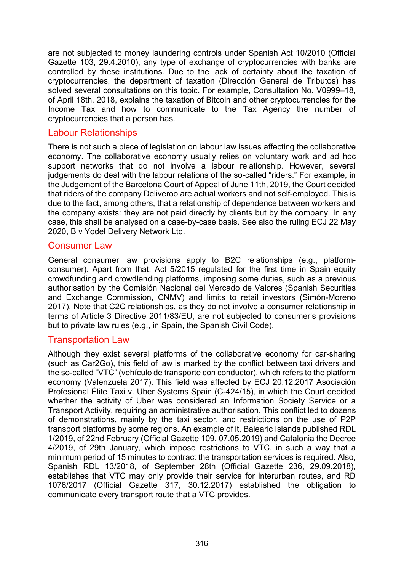are not subjected to money laundering controls under Spanish Act 10/2010 (Official Gazette 103, 29.4.2010), any type of exchange of cryptocurrencies with banks are controlled by these institutions. Due to the lack of certainty about the taxation of cryptocurrencies, the department of taxation (Dirección General de Tributos) has solved several consultations on this topic. For example, Consultation No. V0999–18, of April 18th, 2018, explains the taxation of Bitcoin and other cryptocurrencies for the Income Tax and how to communicate to the Tax Agency the number of cryptocurrencies that a person has.

#### Labour Relationships

There is not such a piece of legislation on labour law issues affecting the collaborative economy. The collaborative economy usually relies on voluntary work and ad hoc support networks that do not involve a labour relationship. However, several judgements do deal with the labour relations of the so-called "riders." For example, in the Judgement of the Barcelona Court of Appeal of June 11th, 2019, the Court decided that riders of the company Deliveroo are actual workers and not self-employed. This is due to the fact, among others, that a relationship of dependence between workers and the company exists: they are not paid directly by clients but by the company. In any case, this shall be analysed on a case-by-case basis. See also the ruling ECJ 22 May 2020, B v Yodel Delivery Network Ltd.

#### Consumer Law

General consumer law provisions apply to B2C relationships (e.g., platformconsumer). Apart from that, Act 5/2015 regulated for the first time in Spain equity crowdfunding and crowdlending platforms, imposing some duties, such as a previous authorisation by the Comisión Nacional del Mercado de Valores (Spanish Securities and Exchange Commission, CNMV) and limits to retail investors (Simón-Moreno 2017). Note that C2C relationships, as they do not involve a consumer relationship in terms of Article 3 Directive 2011/83/EU, are not subjected to consumer's provisions but to private law rules (e.g., in Spain, the Spanish Civil Code).

#### Transportation Law

Although they exist several platforms of the collaborative economy for car-sharing (such as Car2Go), this field of law is marked by the conflict between taxi drivers and the so-called "VTC" (vehículo de transporte con conductor), which refers to the platform economy (Valenzuela 2017). This field was affected by ECJ 20.12.2017 Asociación Profesional Élite Taxi v. Uber Systems Spain (C-424/15), in which the Court decided whether the activity of Uber was considered an Information Society Service or a Transport Activity, requiring an administrative authorisation. This conflict led to dozens of demonstrations, mainly by the taxi sector, and restrictions on the use of P2P transport platforms by some regions. An example of it, Balearic Islands published RDL 1/2019, of 22nd February (Official Gazette 109, 07.05.2019) and Catalonia the Decree 4/2019, of 29th January, which impose restrictions to VTC, in such a way that a minimum period of 15 minutes to contract the transportation services is required. Also, Spanish RDL 13/2018, of September 28th (Official Gazette 236, 29.09.2018), establishes that VTC may only provide their service for interurban routes, and RD 1076/2017 (Official Gazette 317, 30.12.2017) established the obligation to communicate every transport route that a VTC provides.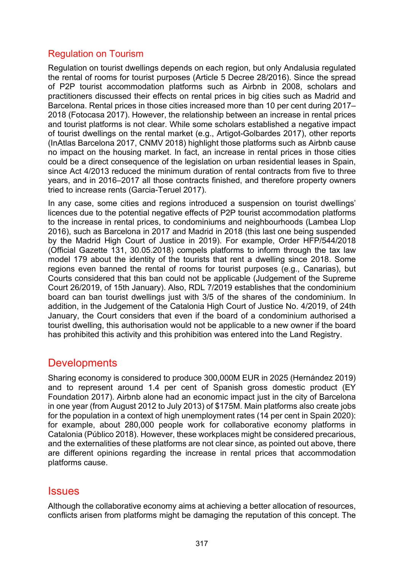### Regulation on Tourism

Regulation on tourist dwellings depends on each region, but only Andalusia regulated the rental of rooms for tourist purposes (Article 5 Decree 28/2016). Since the spread of P2P tourist accommodation platforms such as Airbnb in 2008, scholars and practitioners discussed their effects on rental prices in big cities such as Madrid and Barcelona. Rental prices in those cities increased more than 10 per cent during 2017– 2018 (Fotocasa 2017). However, the relationship between an increase in rental prices and tourist platforms is not clear. While some scholars established a negative impact of tourist dwellings on the rental market (e.g., Artigot-Golbardes 2017), other reports (InAtlas Barcelona 2017, CNMV 2018) highlight those platforms such as Airbnb cause no impact on the housing market. In fact, an increase in rental prices in those cities could be a direct consequence of the legislation on urban residential leases in Spain, since Act 4/2013 reduced the minimum duration of rental contracts from five to three years, and in 2016–2017 all those contracts finished, and therefore property owners tried to increase rents (Garcia-Teruel 2017).

In any case, some cities and regions introduced a suspension on tourist dwellings' licences due to the potential negative effects of P2P tourist accommodation platforms to the increase in rental prices, to condominiums and neighbourhoods (Lambea Llop 2016), such as Barcelona in 2017 and Madrid in 2018 (this last one being suspended by the Madrid High Court of Justice in 2019). For example, Order HFP/544/2018 (Official Gazette 131, 30.05.2018) compels platforms to inform through the tax law model 179 about the identity of the tourists that rent a dwelling since 2018. Some regions even banned the rental of rooms for tourist purposes (e.g., Canarias), but Courts considered that this ban could not be applicable (Judgement of the Supreme Court 26/2019, of 15th January). Also, RDL 7/2019 establishes that the condominium board can ban tourist dwellings just with 3/5 of the shares of the condominium. In addition, in the Judgement of the Catalonia High Court of Justice No. 4/2019, of 24th January, the Court considers that even if the board of a condominium authorised a tourist dwelling, this authorisation would not be applicable to a new owner if the board has prohibited this activity and this prohibition was entered into the Land Registry.

### **Developments**

Sharing economy is considered to produce 300,000M EUR in 2025 (Hernández 2019) and to represent around 1.4 per cent of Spanish gross domestic product (EY Foundation 2017). Airbnb alone had an economic impact just in the city of Barcelona in one year (from August 2012 to July 2013) of \$175M. Main platforms also create jobs for the population in a context of high unemployment rates (14 per cent in Spain 2020): for example, about 280,000 people work for collaborative economy platforms in Catalonia (Público 2018). However, these workplaces might be considered precarious, and the externalities of these platforms are not clear since, as pointed out above, there are different opinions regarding the increase in rental prices that accommodation platforms cause.

#### **Issues**

Although the collaborative economy aims at achieving a better allocation of resources, conflicts arisen from platforms might be damaging the reputation of this concept. The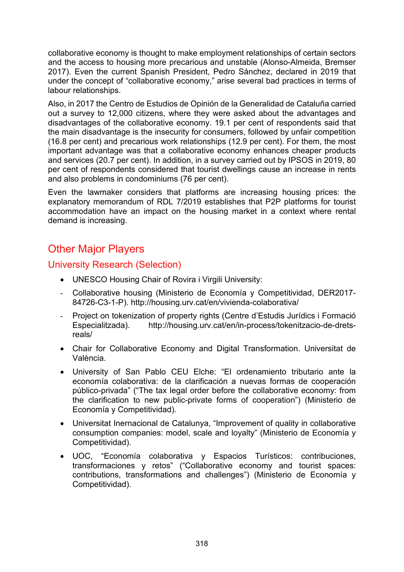collaborative economy is thought to make employment relationships of certain sectors and the access to housing more precarious and unstable (Alonso-Almeida, Bremser 2017). Even the current Spanish President, Pedro Sánchez, declared in 2019 that under the concept of "collaborative economy," arise several bad practices in terms of labour relationships.

Also, in 2017 the Centro de Estudios de Opinión de la Generalidad de Cataluña carried out a survey to 12,000 citizens, where they were asked about the advantages and disadvantages of the collaborative economy. 19.1 per cent of respondents said that the main disadvantage is the insecurity for consumers, followed by unfair competition (16.8 per cent) and precarious work relationships (12.9 per cent). For them, the most important advantage was that a collaborative economy enhances cheaper products and services (20.7 per cent). In addition, in a survey carried out by IPSOS in 2019, 80 per cent of respondents considered that tourist dwellings cause an increase in rents and also problems in condominiums (76 per cent).

Even the lawmaker considers that platforms are increasing housing prices: the explanatory memorandum of RDL 7/2019 establishes that P2P platforms for tourist accommodation have an impact on the housing market in a context where rental demand is increasing.

## Other Major Players

#### University Research (Selection)

- UNESCO Housing Chair of Rovira i Virgili University:
- Collaborative housing (Ministerio de Economía y Competitividad, DER2017- 84726-C3-1-P). [http://housing.urv.cat/en/vivienda-](http://housing.urv.cat/en/vivienda-colaborativa/)colaborativa/
- Project on tokenization of property rights (Centre d'Estudis Jurídics i Formació Especialitzada). [http://housing.urv.cat/en/in-process/tokenitzacio-de-drets](http://housing.urv.cat/en/in-process/tokenitzacio-de-drets-reals/)[reals/](http://housing.urv.cat/en/in-process/tokenitzacio-de-drets-reals/)
- Chair for Collaborative Economy and Digital Transformation. Universitat de València.
- University of San Pablo CEU Elche: "El ordenamiento tributario ante la economía colaborativa: de la clarificación a nuevas formas de cooperación público-privada" ("The tax legal order before the collaborative economy: from the clarification to new public-private forms of cooperation") (Ministerio de Economía y Competitividad).
- Universitat Inernacional de Catalunya, "Improvement of quality in collaborative consumption companies: model, scale and loyalty" (Ministerio de Economía y Competitividad).
- UOC, "Economía colaborativa y Espacios Turísticos: contribuciones, transformaciones y retos" ("Collaborative economy and tourist spaces: contributions, transformations and challenges") (Ministerio de Economía y Competitividad).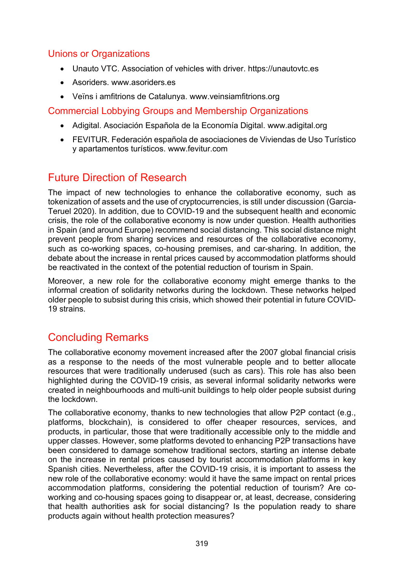### Unions or Organizations

- Unauto VTC. Association of vehicles with driver. [https://unautovtc.es](https://unautovtc.es/)
- Asoriders. [www.asoriders.es](https://www.asoriders.es/)
- Veïns i amfitrions de Catalunya. www.veinsiamfitrions.org

#### Commercial Lobbying Groups and Membership Organizations

- Adigital. Asociación Española de la Economía Digital. [www.adigital.org](https://www.adigital.org/)
- FEVITUR. Federación española de asociaciones de Viviendas de Uso Turístico y apartamentos turísticos. [www.fevitur.com](https://www.fevitur.com/)

### Future Direction of Research

The impact of new technologies to enhance the collaborative economy, such as tokenization of assets and the use of cryptocurrencies, is still under discussion (Garcia-Teruel 2020). In addition, due to COVID-19 and the subsequent health and economic crisis, the role of the collaborative economy is now under question. Health authorities in Spain (and around Europe) recommend social distancing. This social distance might prevent people from sharing services and resources of the collaborative economy, such as co-working spaces, co-housing premises, and car-sharing. In addition, the debate about the increase in rental prices caused by accommodation platforms should be reactivated in the context of the potential reduction of tourism in Spain.

Moreover, a new role for the collaborative economy might emerge thanks to the informal creation of solidarity networks during the lockdown. These networks helped older people to subsist during this crisis, which showed their potential in future COVID-19 strains.

## Concluding Remarks

The collaborative economy movement increased after the 2007 global financial crisis as a response to the needs of the most vulnerable people and to better allocate resources that were traditionally underused (such as cars). This role has also been highlighted during the COVID-19 crisis, as several informal solidarity networks were created in neighbourhoods and multi-unit buildings to help older people subsist during the lockdown.

The collaborative economy, thanks to new technologies that allow P2P contact (e.g., platforms, blockchain), is considered to offer cheaper resources, services, and products, in particular, those that were traditionally accessible only to the middle and upper classes. However, some platforms devoted to enhancing P2P transactions have been considered to damage somehow traditional sectors, starting an intense debate on the increase in rental prices caused by tourist accommodation platforms in key Spanish cities. Nevertheless, after the COVID-19 crisis, it is important to assess the new role of the collaborative economy: would it have the same impact on rental prices accommodation platforms, considering the potential reduction of tourism? Are coworking and co-housing spaces going to disappear or, at least, decrease, considering that health authorities ask for social distancing? Is the population ready to share products again without health protection measures?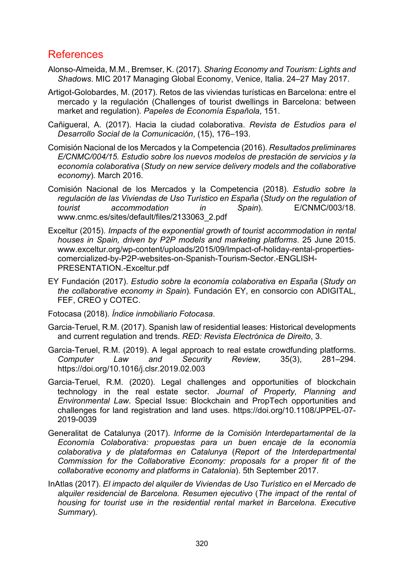### References

- Alonso-Almeida, M.M., Bremser, K. (2017). *Sharing Economy and Tourism: Lights and Shadows*. MIC 2017 Managing Global Economy, Venice, Italia. 24–27 May 2017.
- Artigot-Golobardes, M. (2017). Retos de las viviendas turísticas en Barcelona: entre el mercado y la regulación (Challenges of tourist dwellings in Barcelona: between market and regulation). *Papeles de Economía Española*, 151.
- Cañigueral, A. (2017). Hacia la ciudad colaborativa. *Revista de Estudios para el Desarrollo Social de la Comunicación*, (15), 176–193.
- Comisión Nacional de los Mercados y la Competencia (2016). *Resultados preliminares E/CNMC/004/15. Estudio sobre los nuevos modelos de prestación de servicios y la economía colaborativa* (*Study on new service delivery models and the collaborative economy*)*.* March 2016.
- Comisión Nacional de los Mercados y la Competencia (2018). *Estudio sobre la regulación de las Viviendas de Uso Turístico en España* (*Study on the regulation of tourist accommodation in Spain*)*.* E/CNMC/003/18. [www.cnmc.es/sites/default/files/2133063\\_2.pdf](https://www.cnmc.es/sites/default/files/2133063_2.pdf)
- Exceltur (2015). *Impacts of the exponential growth of tourist accommodation in rental houses in Spain, driven by P2P models and marketing platforms*. 25 June 2015. www.exceltur.org/wp[-content/uploads/2015/09/Impact-of-holiday-rental-properties](https://www.exceltur.org/wp-content/uploads/2015/09/Impact-of-holiday-rental-properties-comercialized-by-P2P-websites-on-Spanish-Tourism-Sector.-ENGLISH-PRESENTATION.-Exceltur.pdf)comercialized-by-P2P-websites[-on-Spanish-Tourism-Sector.-ENGLISH-](https://www.exceltur.org/wp-content/uploads/2015/09/Impact-of-holiday-rental-properties-comercialized-by-P2P-websites-on-Spanish-Tourism-Sector.-ENGLISH-PRESENTATION.-Exceltur.pdf)[PRESENTATION.](https://www.exceltur.org/wp-content/uploads/2015/09/Impact-of-holiday-rental-properties-comercialized-by-P2P-websites-on-Spanish-Tourism-Sector.-ENGLISH-PRESENTATION.-Exceltur.pdf)-Exceltur.pdf
- EY Fundación (2017). *Estudio sobre la economía colaborativa en España* (*Study on the collaborative economy in Spain*)*.* Fundación EY, en consorcio con ADIGITAL, FEF, CREO y COTEC.
- Fotocasa (2018). *Índice inmobiliario Fotocasa*.
- Garcia-Teruel, R.M. (2017). Spanish law of residential leases: Historical developments and current regulation and trends. *RED: Revista Electrónica de Direito*, 3.
- Garcia-Teruel, R.M. (2019). A legal approach to real estate crowdfunding platforms. *Computer Law and Security Review*, 35(3), 281–294. <https://doi.org/10.1016/j.clsr.2019.02.003>
- Garcia-Teruel, R.M. (2020). Legal challenges and opportunities of blockchain technology in the real estate sector. *Journal of Property, Planning and Environmental Law*. Special Issue: Blockchain and PropTech opportunities and challenges for land registration and land uses. https://doi.org/10.1108/JPPEL-07- 2019-0039
- Generalitat de Catalunya (2017). *Informe de la Comisión Interdepartamental de la Economía Colaborativa: propuestas para un buen encaje de la economía colaborativa y de plataformas en Catalunya* (*Report of the Interdepartmental Commission for the Collaborative Economy: proposals for a proper fit of the collaborative economy and platforms in Catalonia*). 5th September 2017.
- InAtlas (2017). *El impacto del alquiler de Viviendas de Uso Turístico en el Mercado de alquiler residencial de Barcelona. Resumen ejecutivo* (*The impact of the rental of housing for tourist use in the residential rental market in Barcelona. Executive Summary*).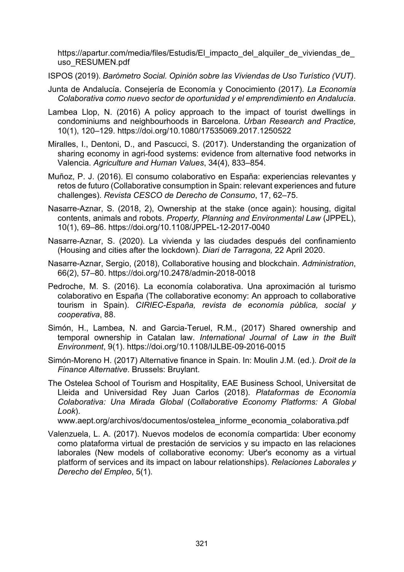https://apartur.com/media/files/Estudis/El\_impacto\_del\_alquiler\_de\_viviendas\_de [uso\\_RESUMEN.pdf](https://apartur.com/media/files/Estudis/El_impacto_del_alquiler_de_viviendas_de_uso_RESUMEN.pdf)

ISPOS (2019). *Barómetro Social. Opinión sobre las Viviendas de Uso Turístico (VUT)*.

- Junta de Andalucía. Consejería de Economía y Conocimiento (2017). *La Economía Colaborativa como nuevo sector de oportunidad y el emprendimiento en Andalucía*.
- Lambea Llop, N. (2016) A policy approach to the impact of tourist dwellings in condominiums and neighbourhoods in Barcelona. *Urban Research and Practice,*  10(1), 120–129. https://doi.org/10.1080/17535069.2017.1250522
- Miralles, I., Dentoni, D., and Pascucci, S. (2017). Understanding the organization of sharing economy in agri-food systems: evidence from alternative food networks in Valencia. *Agriculture and Human Values*, 34(4), 833–854.
- Muñoz, P. J. (2016). El consumo colaborativo en España: experiencias relevantes y retos de futuro (Collaborative consumption in Spain: relevant experiences and future challenges). *Revista CESCO de Derecho de Consumo*, 17, 62–75.
- Nasarre-Aznar, S. (2018, 2), Ownership at the stake (once again): housing, digital contents, animals and robots. *Property, Planning and Environmental Law* (JPPEL), 10(1), 69–86. https://doi.org/10.1108/JPPEL-12-2017-0040
- Nasarre-Aznar, S. (2020). La vivienda y las ciudades después del confinamiento (Housing and cities after the lockdown). *Diari de Tarragona,* 22 April 2020.
- Nasarre-Aznar, Sergio, (2018), Collaborative housing and blockchain. *Administration*, 66(2), 57–80. https://doi.org/10.2478/admin-2018-0018
- Pedroche, M. S. (2016). La economía colaborativa. Una aproximación al turismo colaborativo en España (The collaborative economy: An approach to collaborative tourism in Spain). *CIRIEC-España, revista de economía pública, social y cooperativa*, 88.
- Simón, H., Lambea, N. and Garcia-Teruel, R.M., (2017) Shared ownership and temporal ownership in Catalan law. *International Journal of Law in the Built Environment*, 9(1). https://doi.org/10.1108/IJLBE-09-2016-0015
- Simón-Moreno H. (2017) Alternative finance in Spain. In: Moulin J.M. (ed.). *Droit de la Finance Alternative*. Brussels: Bruylant.
- The Ostelea School of Tourism and Hospitality, EAE Business School, Universitat de Lleida and Universidad Rey Juan Carlos (2018). *Plataformas de Economía Colaborativa: Una Mirada Global* (*Collaborative Economy Platforms: A Global Look*).

[www.aept.org/archivos/documentos/ostelea\\_informe\\_economia\\_colaborativa.pdf](http://www.aept.org/archivos/documentos/ostelea_informe_economia_colaborativa.pdf)

Valenzuela, L. A. (2017). Nuevos modelos de economía compartida: Uber economy como plataforma virtual de prestación de servicios y su impacto en las relaciones laborales (New models of collaborative economy: Uber's economy as a virtual platform of services and its impact on labour relationships). *Relaciones Laborales y Derecho del Empleo*, 5(1).